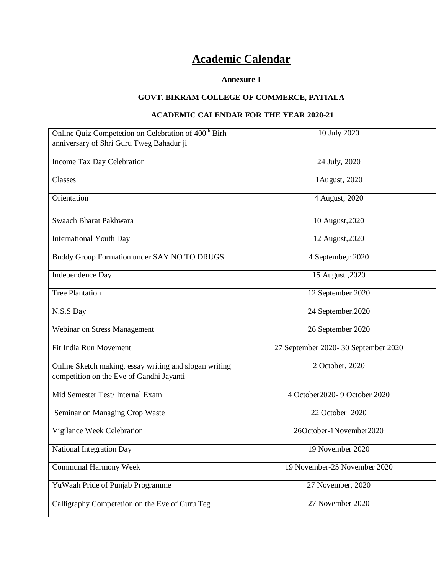## **Academic Calendar**

## **Annexure-I**

## **GOVT. BIKRAM COLLEGE OF COMMERCE, PATIALA**

## **ACADEMIC CALENDAR FOR THE YEAR 2020-21**

| Online Quiz Competetion on Celebration of 400 <sup>th</sup> Birh                                   | 10 July 2020                        |
|----------------------------------------------------------------------------------------------------|-------------------------------------|
| anniversary of Shri Guru Tweg Bahadur ji                                                           |                                     |
| Income Tax Day Celebration                                                                         | 24 July, 2020                       |
| Classes                                                                                            | 1August, 2020                       |
| Orientation                                                                                        | 4 August, 2020                      |
| Swaach Bharat Pakhwara                                                                             | 10 August, 2020                     |
| <b>International Youth Day</b>                                                                     | 12 August, 2020                     |
| Buddy Group Formation under SAY NO TO DRUGS                                                        | 4 Septembe, r 2020                  |
| Independence Day                                                                                   | 15 August , 2020                    |
| <b>Tree Plantation</b>                                                                             | 12 September 2020                   |
| N.S.S Day                                                                                          | 24 September, 2020                  |
| Webinar on Stress Management                                                                       | 26 September 2020                   |
| Fit India Run Movement                                                                             | 27 September 2020-30 September 2020 |
| Online Sketch making, essay writing and slogan writing<br>competition on the Eve of Gandhi Jayanti | 2 October, 2020                     |
| Mid Semester Test/ Internal Exam                                                                   | 4 October 2020- 9 October 2020      |
| Seminar on Managing Crop Waste                                                                     | 22 October 2020                     |
| Vigilance Week Celebration                                                                         | 26October-1November2020             |
| National Integration Day                                                                           | 19 November 2020                    |
| <b>Communal Harmony Week</b>                                                                       | 19 November-25 November 2020        |
| YuWaah Pride of Punjab Programme                                                                   | 27 November, 2020                   |
| Calligraphy Competetion on the Eve of Guru Teg                                                     | 27 November 2020                    |